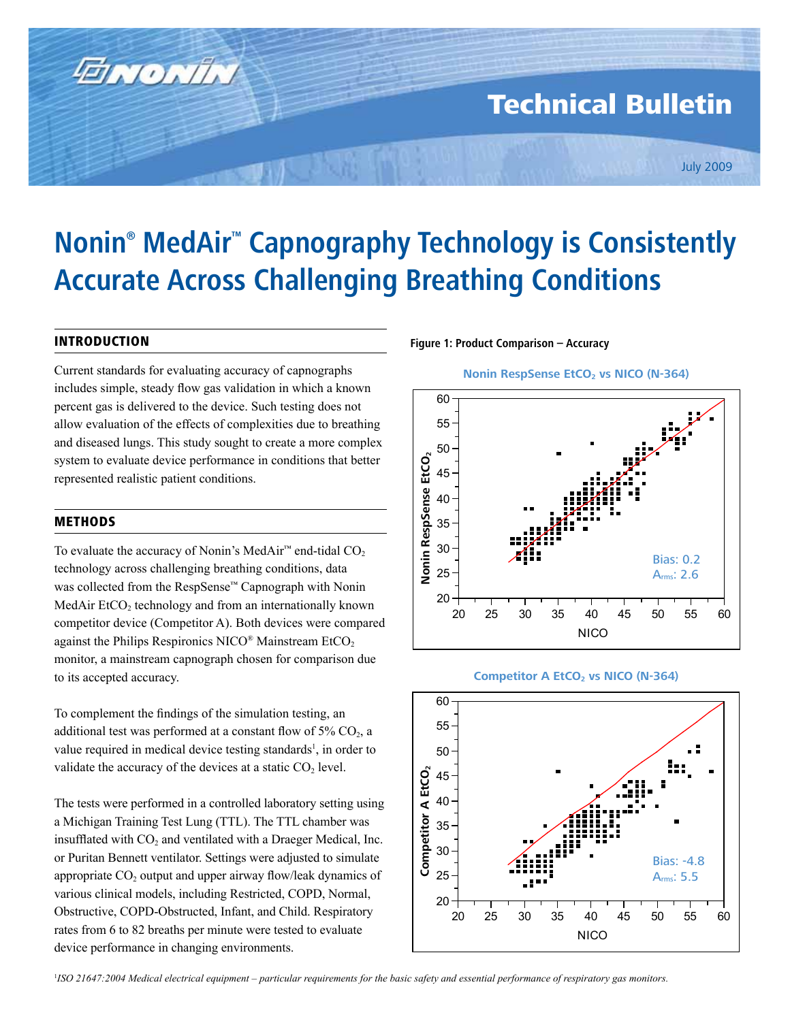# Technical Bulletin

# **Nonin® MedAir™ Capnography Technology is Consistently Accurate Across Challenging Breathing Conditions**

# INTRODUCTION

ENONIN

Current standards for evaluating accuracy of capnographs includes simple, steady flow gas validation in which a known percent gas is delivered to the device. Such testing does not allow evaluation of the effects of complexities due to breathing and diseased lungs. This study sought to create a more complex system to evaluate device performance in conditions that better represented realistic patient conditions.

## METHODS

To evaluate the accuracy of Nonin's MedAir<sup>™</sup> end-tidal  $CO<sub>2</sub>$ technology across challenging breathing conditions, data was collected from the RespSense™ Capnograph with Nonin MedAir EtCO<sub>2</sub> technology and from an internationally known competitor device (Competitor A). Both devices were compared against the Philips Respironics NICO® Mainstream EtCO<sub>2</sub> monitor, a mainstream capnograph chosen for comparison due to its accepted accuracy.

To complement the findings of the simulation testing, an additional test was performed at a constant flow of  $5\%$  CO<sub>2</sub>, a value required in medical device testing standards<sup>1</sup>, in order to validate the accuracy of the devices at a static  $CO<sub>2</sub>$  level.

The tests were performed in a controlled laboratory setting using a Michigan Training Test Lung (TTL). The TTL chamber was insufflated with  $CO<sub>2</sub>$  and ventilated with a Draeger Medical, Inc. or Puritan Bennett ventilator. Settings were adjusted to simulate appropriate  $CO<sub>2</sub>$  output and upper airway flow/leak dynamics of various clinical models, including Restricted, COPD, Normal, Obstructive, COPD-Obstructed, Infant, and Child. Respiratory rates from 6 to 82 breaths per minute were tested to evaluate device performance in changing environments.

### **Figure 1: Product Comparison – Accuracy**









<sup>1</sup>ISO 21647:2004 Medical electrical equipment – particular requirements for the basic safety and essential performance of respiratory gas monitors.